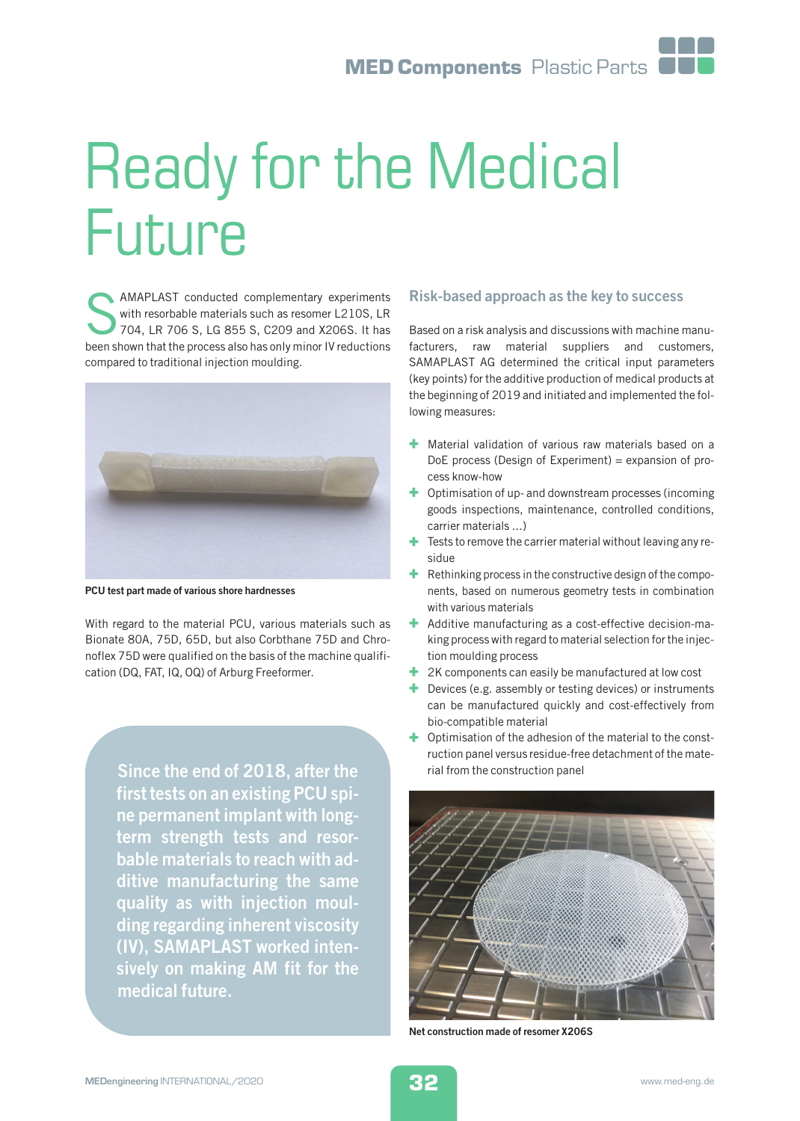# Ready for the Medical Future

**SERVING AMAPLAST** conducted complementary experiments<br>with resorbable materials such as resomer L210S, LR<br>704, LR 706 S, LG 855 S, C209 and X206S. It has<br>been shown that the process also has only minor IV reductions AMAPLAST conducted complementary experiments with resorbable materials such as resomer L210S, LR 704, LR 706 S, LG 855 S, C209 and X206S. It has compared to traditional injection moulding.



PCU test part made of various shore hardnesses

With regard to the material PCU, various materials such as Bionate 80A, 75D, 65D, but also Corbthane 75D and Chronoflex 75D were qualified on the basis of the machine qualification (DQ, FAT, IQ, OQ) of Arburg Freeformer.

> Since the end of 2018, after the first tests on an existing PCU spine permanent implant with longterm strength tests and resorbable materials to reach with additive manufacturing the same quality as with injection moulding regarding inherent viscosity (IV), SAMAPLAST worked intensively on making AM fit for the medical future.

## Risk-based approach as the key to success

Based on a risk analysis and discussions with machine manufacturers, raw material suppliers and customers, SAMAPLAST AG determined the critical input parameters (key points) for the additive production of medical products at the beginning of 2019 and initiated and implemented the following measures:

- + Material validation of various raw materials based on a DoE process (Design of Experiment) = expansion of process know-how
- + Optimisation of up- and downstream processes (incoming goods inspections, maintenance, controlled conditions, carrier materials ...)
- $\pm$  Tests to remove the carrier material without leaving any residue
- Rethinking process in the constructive design of the components, based on numerous geometry tests in combination with various materials
- + Additive manufacturing as a cost-effective decision-making process with regard to material selection for the injection moulding process
- $+$  2K components can easily be manufactured at low cost
- + Devices (e.g. assembly or testing devices) or instruments can be manufactured quickly and cost-effectively from bio-compatible material
- + Optimisation of the adhesion of the material to the construction panel versus residue-free detachment of the material from the construction panel



Net construction made of resomer X206S